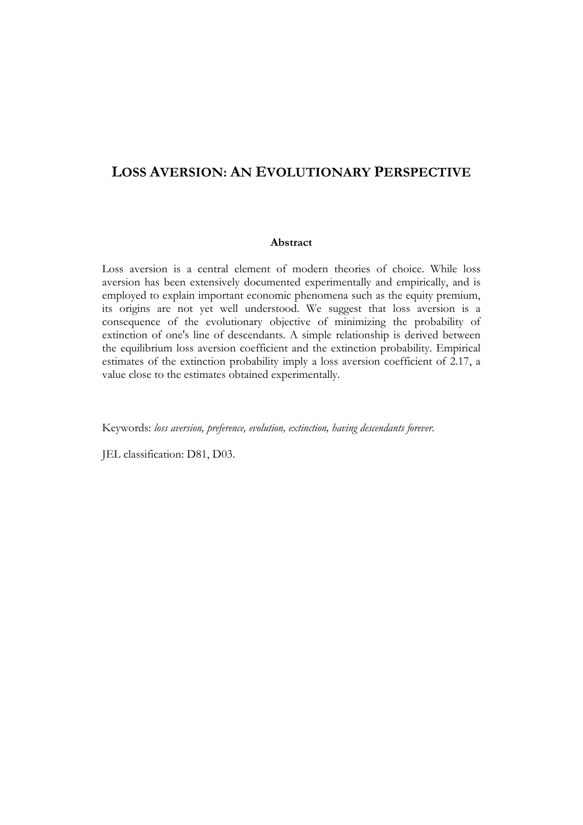# **LOSS AVERSION: AN EVOLUTIONARY PERSPECTIVE**

# **Abstract**

Loss aversion is a central element of modern theories of choice. While loss aversion has been extensively documented experimentally and empirically, and is employed to explain important economic phenomena such as the equity premium, its origins are not yet well understood. We suggest that loss aversion is a consequence of the evolutionary objective of minimizing the probability of extinction of one's line of descendants. A simple relationship is derived between the equilibrium loss aversion coefficient and the extinction probability. Empirical estimates of the extinction probability imply a loss aversion coefficient of 2.17, a value close to the estimates obtained experimentally.

Keywords: *loss aversion, preference, evolution, extinction, having descendants forever*.

JEL classification: D81, D03.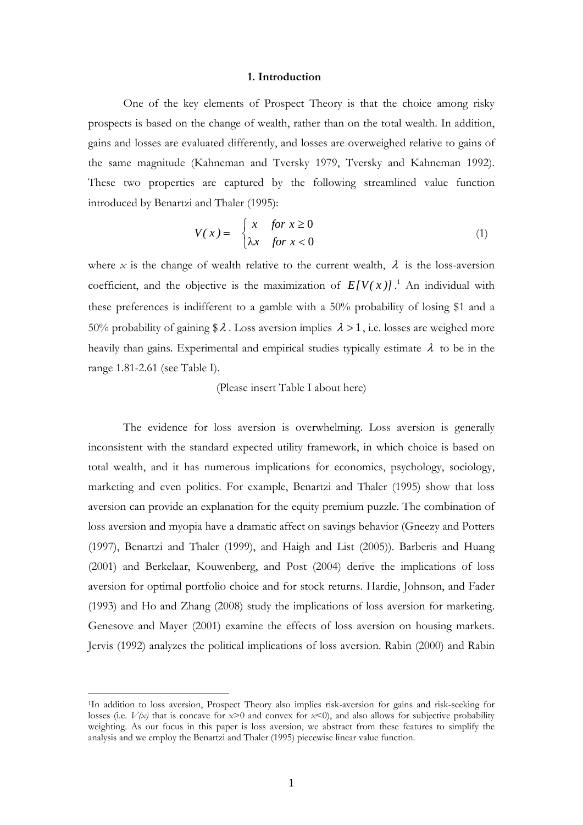#### **1. Introduction**

 One of the key elements of Prospect Theory is that the choice among risky prospects is based on the change of wealth, rather than on the total wealth. In addition, gains and losses are evaluated differently, and losses are overweighed relative to gains of the same magnitude (Kahneman and Tversky 1979, Tversky and Kahneman 1992). These two properties are captured by the following streamlined value function introduced by Benartzi and Thaler (1995):

$$
V(x) = \begin{cases} x & \text{for } x \ge 0 \\ \lambda x & \text{for } x < 0 \end{cases}
$$
 (1)

where *x* is the change of wealth relative to the current wealth,  $\lambda$  is the loss-aversion coefficient, and the objective is the maximization of  $E[V(x)]$ .<sup>1</sup> An individual with these preferences is indifferent to a gamble with a 50% probability of losing \$1 and a 50% probability of gaining \$ $\lambda$ . Loss aversion implies  $\lambda > 1$ , i.e. losses are weighed more heavily than gains. Experimental and empirical studies typically estimate  $\lambda$  to be in the range 1.81-2.61 (see Table I).

#### (Please insert Table I about here)

 The evidence for loss aversion is overwhelming. Loss aversion is generally inconsistent with the standard expected utility framework, in which choice is based on total wealth, and it has numerous implications for economics, psychology, sociology, marketing and even politics. For example, Benartzi and Thaler (1995) show that loss aversion can provide an explanation for the equity premium puzzle. The combination of loss aversion and myopia have a dramatic affect on savings behavior (Gneezy and Potters (1997), Benartzi and Thaler (1999), and Haigh and List (2005)). Barberis and Huang (2001) and Berkelaar, Kouwenberg, and Post (2004) derive the implications of loss aversion for optimal portfolio choice and for stock returns. Hardie, Johnson, and Fader (1993) and Ho and Zhang (2008) study the implications of loss aversion for marketing. Genesove and Mayer (2001) examine the effects of loss aversion on housing markets. Jervis (1992) analyzes the political implications of loss aversion. Rabin (2000) and Rabin

<sup>1</sup>In addition to loss aversion, Prospect Theory also implies risk-aversion for gains and risk-seeking for losses (i.e.  $V(x)$  that is concave for  $x>0$  and convex for  $x<0$ ), and also allows for subjective probability weighting. As our focus in this paper is loss aversion, we abstract from these features to simplify the analysis and we employ the Benartzi and Thaler (1995) piecewise linear value function.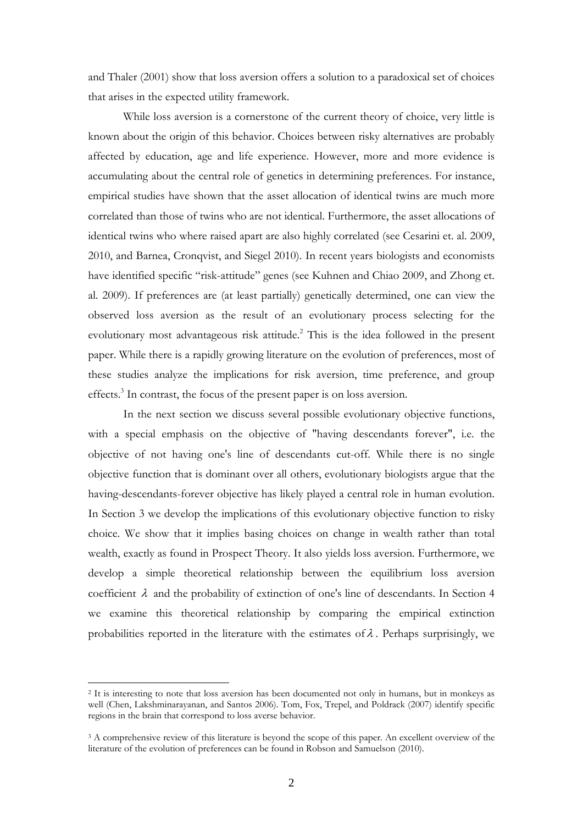and Thaler (2001) show that loss aversion offers a solution to a paradoxical set of choices that arises in the expected utility framework.

 While loss aversion is a cornerstone of the current theory of choice, very little is known about the origin of this behavior. Choices between risky alternatives are probably affected by education, age and life experience. However, more and more evidence is accumulating about the central role of genetics in determining preferences. For instance, empirical studies have shown that the asset allocation of identical twins are much more correlated than those of twins who are not identical. Furthermore, the asset allocations of identical twins who where raised apart are also highly correlated (see Cesarini et. al. 2009, 2010, and Barnea, Cronqvist, and Siegel 2010). In recent years biologists and economists have identified specific "risk-attitude" genes (see Kuhnen and Chiao 2009, and Zhong et. al. 2009). If preferences are (at least partially) genetically determined, one can view the observed loss aversion as the result of an evolutionary process selecting for the evolutionary most advantageous risk attitude.<sup>2</sup> This is the idea followed in the present paper. While there is a rapidly growing literature on the evolution of preferences, most of these studies analyze the implications for risk aversion, time preference, and group effects.<sup>3</sup> In contrast, the focus of the present paper is on loss aversion.

 In the next section we discuss several possible evolutionary objective functions, with a special emphasis on the objective of "having descendants forever", i.e. the objective of not having one's line of descendants cut-off. While there is no single objective function that is dominant over all others, evolutionary biologists argue that the having-descendants-forever objective has likely played a central role in human evolution. In Section 3 we develop the implications of this evolutionary objective function to risky choice. We show that it implies basing choices on change in wealth rather than total wealth, exactly as found in Prospect Theory. It also yields loss aversion. Furthermore, we develop a simple theoretical relationship between the equilibrium loss aversion coefficient  $\lambda$  and the probability of extinction of one's line of descendants. In Section 4 we examine this theoretical relationship by comparing the empirical extinction probabilities reported in the literature with the estimates of  $\lambda$ . Perhaps surprisingly, we

<sup>2</sup> It is interesting to note that loss aversion has been documented not only in humans, but in monkeys as well (Chen, Lakshminarayanan, and Santos 2006). Tom, Fox, Trepel, and Poldrack (2007) identify specific regions in the brain that correspond to loss averse behavior.

<sup>&</sup>lt;sup>3</sup> A comprehensive review of this literature is beyond the scope of this paper. An excellent overview of the literature of the evolution of preferences can be found in Robson and Samuelson (2010).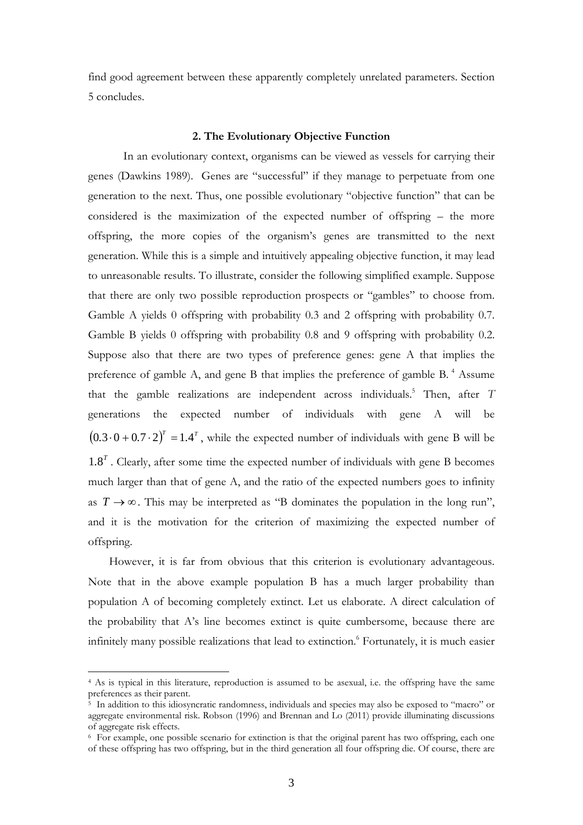find good agreement between these apparently completely unrelated parameters. Section 5 concludes.

#### **2. The Evolutionary Objective Function**

 In an evolutionary context, organisms can be viewed as vessels for carrying their genes (Dawkins 1989). Genes are "successful" if they manage to perpetuate from one generation to the next. Thus, one possible evolutionary "objective function" that can be considered is the maximization of the expected number of offspring – the more offspring, the more copies of the organism's genes are transmitted to the next generation. While this is a simple and intuitively appealing objective function, it may lead to unreasonable results. To illustrate, consider the following simplified example. Suppose that there are only two possible reproduction prospects or "gambles" to choose from. Gamble A yields 0 offspring with probability 0.3 and 2 offspring with probability 0.7. Gamble B yields 0 offspring with probability 0.8 and 9 offspring with probability 0.2. Suppose also that there are two types of preference genes: gene A that implies the preference of gamble A, and gene B that implies the preference of gamble B. 4 Assume that the gamble realizations are independent across individuals.<sup>5</sup> Then, after *T* generations the expected number of individuals with gene A will be  $(0.3 \cdot 0 + 0.7 \cdot 2)^{T} = 1.4^{T}$ , while the expected number of individuals with gene B will be  $1.8<sup>T</sup>$ . Clearly, after some time the expected number of individuals with gene B becomes much larger than that of gene A, and the ratio of the expected numbers goes to infinity as  $T \rightarrow \infty$ . This may be interpreted as "B dominates the population in the long run", and it is the motivation for the criterion of maximizing the expected number of offspring.

However, it is far from obvious that this criterion is evolutionary advantageous. Note that in the above example population B has a much larger probability than population A of becoming completely extinct. Let us elaborate. A direct calculation of the probability that A's line becomes extinct is quite cumbersome, because there are infinitely many possible realizations that lead to extinction.<sup>6</sup> Fortunately, it is much easier

<sup>4</sup> As is typical in this literature, reproduction is assumed to be asexual, i.e. the offspring have the same preferences as their parent.

<sup>&</sup>lt;sup>5</sup> In addition to this idiosyncratic randomness, individuals and species may also be exposed to "macro" or aggregate environmental risk. Robson (1996) and Brennan and Lo (2011) provide illuminating discussions of aggregate risk effects.

<sup>6</sup> For example, one possible scenario for extinction is that the original parent has two offspring, each one of these offspring has two offspring, but in the third generation all four offspring die. Of course, there are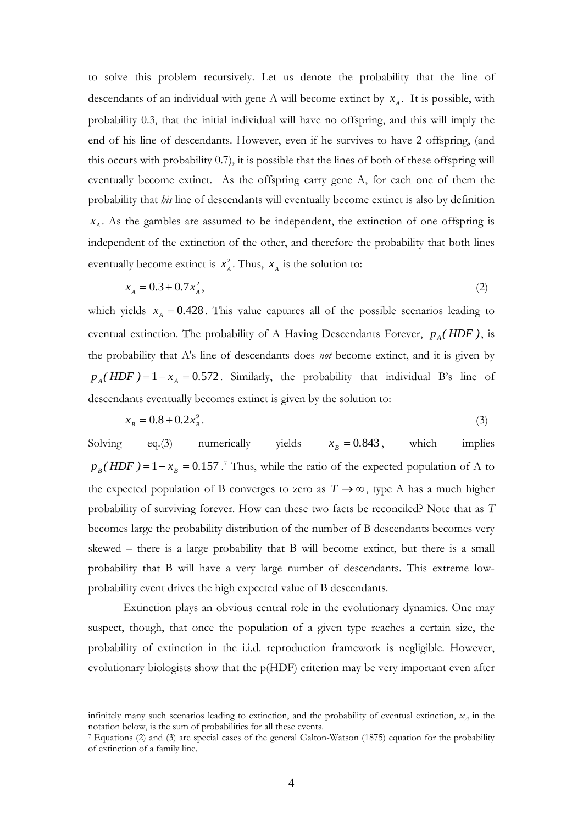to solve this problem recursively. Let us denote the probability that the line of descendants of an individual with gene A will become extinct by  $x_A$ . It is possible, with probability 0.3, that the initial individual will have no offspring, and this will imply the end of his line of descendants. However, even if he survives to have 2 offspring, (and this occurs with probability 0.7), it is possible that the lines of both of these offspring will eventually become extinct. As the offspring carry gene A, for each one of them the probability that *his* line of descendants will eventually become extinct is also by definition  $x_A$ . As the gambles are assumed to be independent, the extinction of one offspring is independent of the extinction of the other, and therefore the probability that both lines eventually become extinct is  $x_A^2$ . Thus,  $x_A$  is the solution to:

$$
x_{A} = 0.3 + 0.7x_{A}^{2},\tag{2}
$$

which yields  $x_A = 0.428$ . This value captures all of the possible scenarios leading to eventual extinction. The probability of A Having Descendants Forever,  $p_A(HDF)$ , is the probability that A's line of descendants does *not* become extinct, and it is given by  $p_A(HDF) = 1 - x_A = 0.572$ . Similarly, the probability that individual B's line of descendants eventually becomes extinct is given by the solution to:

$$
x_{B} = 0.8 + 0.2x_{B}^{9}.
$$
 (3)

Solving eq.(3) numerically yields  $x_p = 0.843$ , which implies  $p_B(HDF) = 1 - x_B = 0.157$ .<sup>7</sup> Thus, while the ratio of the expected population of A to the expected population of B converges to zero as  $T \to \infty$ , type A has a much higher probability of surviving forever. How can these two facts be reconciled? Note that as *T* becomes large the probability distribution of the number of B descendants becomes very skewed – there is a large probability that B will become extinct, but there is a small probability that B will have a very large number of descendants. This extreme lowprobability event drives the high expected value of B descendants.

 Extinction plays an obvious central role in the evolutionary dynamics. One may suspect, though, that once the population of a given type reaches a certain size, the probability of extinction in the i.i.d. reproduction framework is negligible. However, evolutionary biologists show that the p(HDF) criterion may be very important even after

infinitely many such scenarios leading to extinction, and the probability of eventual extinction,  $x_A$  in the notation below, is the sum of probabilities for all these events.

<sup>&</sup>lt;sup>7</sup> Equations (2) and (3) are special cases of the general Galton-Watson (1875) equation for the probability of extinction of a family line.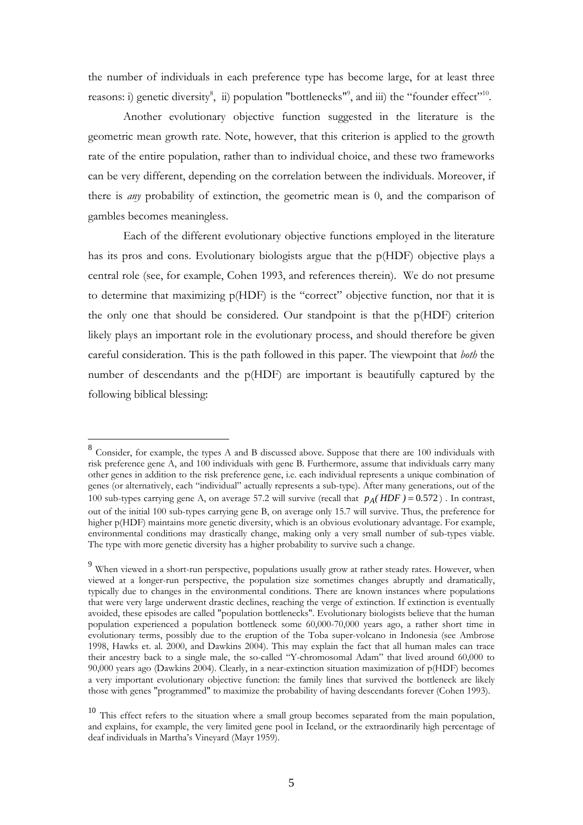the number of individuals in each preference type has become large, for at least three reasons: i) genetic diversity<sup>8</sup>, ii) population "bottlenecks"<sup>9</sup>, and iii) the "founder effect"<sup>10</sup>.

 Another evolutionary objective function suggested in the literature is the geometric mean growth rate. Note, however, that this criterion is applied to the growth rate of the entire population, rather than to individual choice, and these two frameworks can be very different, depending on the correlation between the individuals. Moreover, if there is *any* probability of extinction, the geometric mean is 0, and the comparison of gambles becomes meaningless.

 Each of the different evolutionary objective functions employed in the literature has its pros and cons. Evolutionary biologists argue that the p(HDF) objective plays a central role (see, for example, Cohen 1993, and references therein). We do not presume to determine that maximizing p(HDF) is the "correct" objective function, nor that it is the only one that should be considered. Our standpoint is that the p(HDF) criterion likely plays an important role in the evolutionary process, and should therefore be given careful consideration. This is the path followed in this paper. The viewpoint that *both* the number of descendants and the p(HDF) are important is beautifully captured by the following biblical blessing:

<sup>&</sup>lt;sup>8</sup> Consider, for example, the types A and B discussed above. Suppose that there are 100 individuals with risk preference gene A, and 100 individuals with gene B. Furthermore, assume that individuals carry many other genes in addition to the risk preference gene, i.e. each individual represents a unique combination of genes (or alternatively, each "individual" actually represents a sub-type). After many generations, out of the 100 sub-types carrying gene A, on average 57.2 will survive (recall that  $p_A(HDF) = 0.572$ ). In contrast, out of the initial 100 sub-types carrying gene B, on average only 15.7 will survive. Thus, the preference for higher p(HDF) maintains more genetic diversity, which is an obvious evolutionary advantage. For example, environmental conditions may drastically change, making only a very small number of sub-types viable. The type with more genetic diversity has a higher probability to survive such a change.

<sup>9</sup> When viewed in a short-run perspective, populations usually grow at rather steady rates. However, when viewed at a longer-run perspective, the population size sometimes changes abruptly and dramatically, typically due to changes in the environmental conditions. There are known instances where populations that were very large underwent drastic declines, reaching the verge of extinction. If extinction is eventually avoided, these episodes are called "population bottlenecks". Evolutionary biologists believe that the human population experienced a population bottleneck some 60,000-70,000 years ago, a rather short time in evolutionary terms, possibly due to the eruption of the Toba super-volcano in Indonesia (see Ambrose 1998, Hawks et. al. 2000, and Dawkins 2004). This may explain the fact that all human males can trace their ancestry back to a single male, the so-called "Y-chromosomal Adam" that lived around 60,000 to 90,000 years ago (Dawkins 2004). Clearly, in a near-extinction situation maximization of p(HDF) becomes a very important evolutionary objective function: the family lines that survived the bottleneck are likely those with genes "programmed" to maximize the probability of having descendants forever (Cohen 1993).

<sup>&</sup>lt;sup>10</sup> This effect refers to the situation where a small group becomes separated from the main population, and explains, for example, the very limited gene pool in Iceland, or the extraordinarily high percentage of deaf individuals in Martha's Vineyard (Mayr 1959).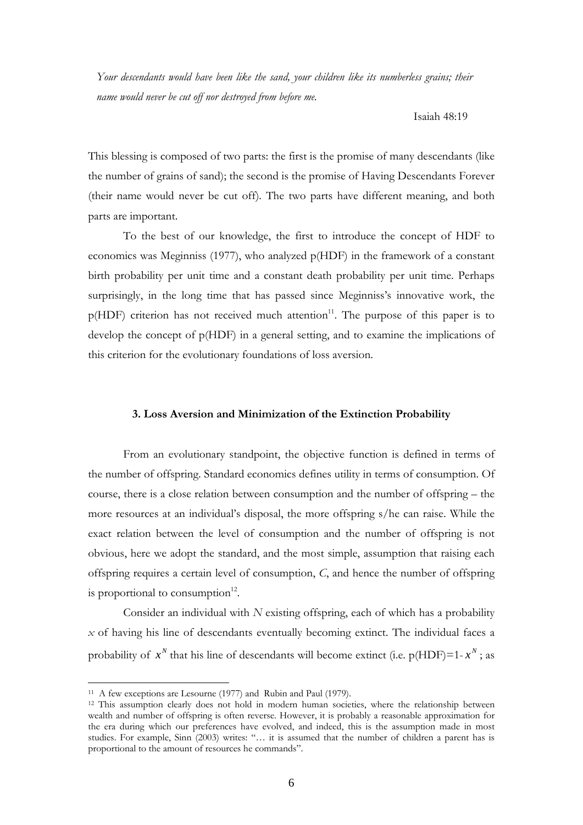*Your descendants would have been like the sand, your children like its numberless grains; their name would never be cut off nor destroyed from before me.* 

Isaiah 48:19

This blessing is composed of two parts: the first is the promise of many descendants (like the number of grains of sand); the second is the promise of Having Descendants Forever (their name would never be cut off). The two parts have different meaning, and both parts are important.

To the best of our knowledge, the first to introduce the concept of HDF to economics was Meginniss (1977), who analyzed p(HDF) in the framework of a constant birth probability per unit time and a constant death probability per unit time. Perhaps surprisingly, in the long time that has passed since Meginniss's innovative work, the  $p(HDF)$  criterion has not received much attention<sup>11</sup>. The purpose of this paper is to develop the concept of p(HDF) in a general setting, and to examine the implications of this criterion for the evolutionary foundations of loss aversion.

# **3. Loss Aversion and Minimization of the Extinction Probability**

From an evolutionary standpoint, the objective function is defined in terms of the number of offspring. Standard economics defines utility in terms of consumption. Of course, there is a close relation between consumption and the number of offspring – the more resources at an individual's disposal, the more offspring s/he can raise. While the exact relation between the level of consumption and the number of offspring is not obvious, here we adopt the standard, and the most simple, assumption that raising each offspring requires a certain level of consumption, *C*, and hence the number of offspring is proportional to consumption $12$ .

Consider an individual with *N* existing offspring, each of which has a probability *x* of having his line of descendants eventually becoming extinct. The individual faces a probability of  $x^N$  that his line of descendants will become extinct (i.e.  $p(HDF)=1-x^N$ ; as

<sup>&</sup>lt;sup>11</sup> A few exceptions are Lesourne (1977) and Rubin and Paul (1979).<br><sup>12</sup> This assumption clearly does not hold in modern human societies, where the relationship between wealth and number of offspring is often reverse. However, it is probably a reasonable approximation for the era during which our preferences have evolved, and indeed, this is the assumption made in most studies. For example, Sinn (2003) writes: "… it is assumed that the number of children a parent has is proportional to the amount of resources he commands".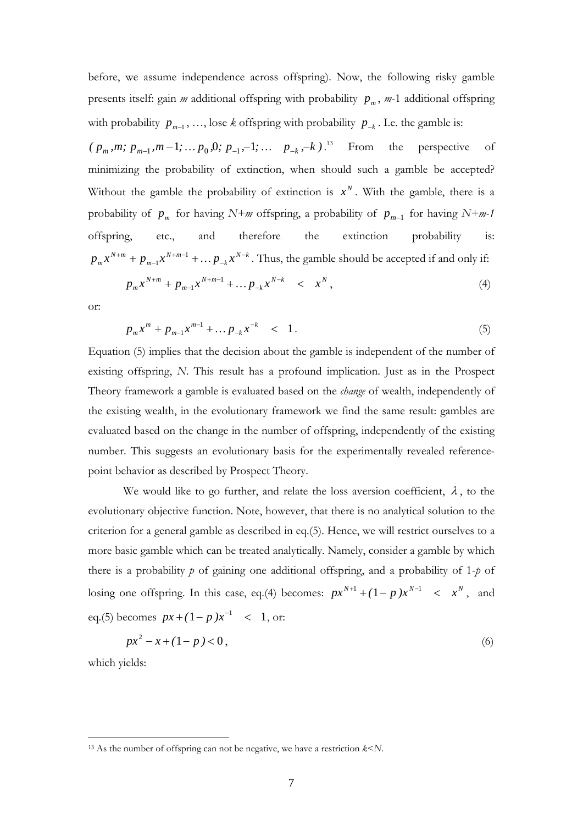before, we assume independence across offspring). Now, the following risky gamble presents itself: gain  $m$  additional offspring with probability  $p_m$ ,  $m-1$  additional offspring with probability  $p_{m-1}$ , ..., lose *k* offspring with probability  $p_{-k}$ . I.e. the gamble is:

 $(p_m, m; p_{m-1}, m-1; \ldots, p_0, 0; p_{-1}, -1; \ldots, p_{-k}, -k)$ <sup>13</sup> From the perspective of minimizing the probability of extinction, when should such a gamble be accepted? Without the gamble the probability of extinction is  $x^N$ . With the gamble, there is a probability of  $p_m$  for having *N+m* offspring, a probability of  $p_{m-1}$  for having *N+m-1* offspring, etc., and therefore the extinction probability *N k k N m m*  $p_{m}x^{N+m} + p_{m-1}x^{N+m-1} + \ldots p_{-k}x^{N-k}$  $+m 1+m + p_{m-1}x^{N+m-1} + \ldots p_{-k}x^{N-k}$ . Thus, the gamble should be accepted if and only if:

$$
p_m x^{N+m} + p_{m-1} x^{N+m-1} + \dots p_{-k} x^{N-k} \quad < \quad x^N \,, \tag{4}
$$

or:

$$
p_m x^m + p_{m-1} x^{m-1} + \dots p_{-k} x^{-k} \quad < \quad 1. \tag{5}
$$

Equation (5) implies that the decision about the gamble is independent of the number of existing offspring, *N*. This result has a profound implication. Just as in the Prospect Theory framework a gamble is evaluated based on the *change* of wealth, independently of the existing wealth, in the evolutionary framework we find the same result: gambles are evaluated based on the change in the number of offspring, independently of the existing number. This suggests an evolutionary basis for the experimentally revealed referencepoint behavior as described by Prospect Theory.

We would like to go further, and relate the loss aversion coefficient,  $\lambda$ , to the evolutionary objective function. Note, however, that there is no analytical solution to the criterion for a general gamble as described in eq.(5). Hence, we will restrict ourselves to a more basic gamble which can be treated analytically. Namely, consider a gamble by which there is a probability *p* of gaining one additional offspring, and a probability of 1-*p* of losing one offspring. In this case, eq.(4) becomes:  $px^{N+1} + (1-p)x^{N-1} < x^N$ , and eq.(5) becomes  $px + (1 - p)x^{-1} < 1$ , or:

$$
px^2 - x + (1 - p) < 0\tag{6}
$$

which yields:

<sup>13</sup> As the number of offspring can not be negative, we have a restriction *k*<*N*.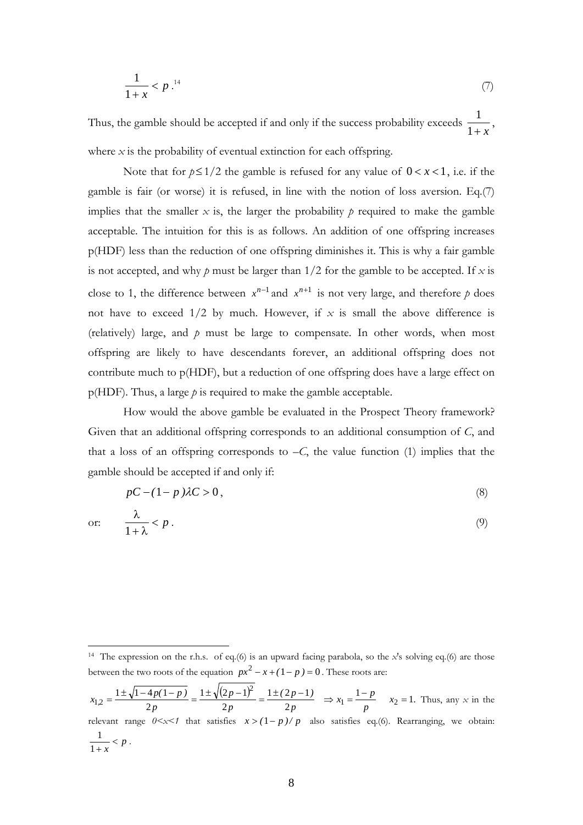$$
\frac{1}{1+x} < p^{-14} \tag{7}
$$

Thus, the gamble should be accepted if and only if the success probability exceeds  $\frac{1}{1 + x}$  $\frac{1}{\ }$ where  $x$  is the probability of eventual extinction for each offspring.

Note that for  $p \leq 1/2$  the gamble is refused for any value of  $0 < x < 1$ , i.e. if the gamble is fair (or worse) it is refused, in line with the notion of loss aversion. Eq.(7) implies that the smaller  $x$  is, the larger the probability  $p$  required to make the gamble acceptable. The intuition for this is as follows. An addition of one offspring increases p(HDF) less than the reduction of one offspring diminishes it. This is why a fair gamble is not accepted, and why  $p$  must be larger than  $1/2$  for the gamble to be accepted. If  $x$  is close to 1, the difference between  $x^{n-1}$  and  $x^{n+1}$  is not very large, and therefore p does not have to exceed  $1/2$  by much. However, if  $x$  is small the above difference is (relatively) large, and *p* must be large to compensate. In other words, when most offspring are likely to have descendants forever, an additional offspring does not contribute much to p(HDF), but a reduction of one offspring does have a large effect on p(HDF). Thus, a large *p* is required to make the gamble acceptable.

 How would the above gamble be evaluated in the Prospect Theory framework? Given that an additional offspring corresponds to an additional consumption of *C*, and that a loss of an offspring corresponds to  $-C$ , the value function (1) implies that the gamble should be accepted if and only if:

$$
pC - (1 - p)\lambda C > 0,
$$
\n<sup>(8)</sup>

or:  $\frac{R}{1}$  < p  $+\lambda$ λ  $\frac{1}{1+\lambda} < p$ . (9)

<sup>14</sup> The expression on the r.h.s. of eq.(6) is an upward facing parabola, so the *x*'s solving eq.(6) are those between the two roots of the equation  $px^2 - x + (1 - p) = 0$ . These roots are:

 $\frac{(2p-1)^2}{2p} = \frac{1 \pm (2p-1)}{2p} \Rightarrow x_1 = \frac{1-p}{p}$   $x_2 = 1$ .  $(2p-1)$ *p p p*  $x_{1,2} = \frac{1 \pm \sqrt{1-4p(1-p)}}{2p} = \frac{1 \pm \sqrt{(2p-1)^2}}{2p} = \frac{1 \pm (2p-1)}{2p} \Rightarrow x_1 = \frac{1-p}{p}$   $x_2 = 1$  $1 \pm (2p-1)$ 2  $1 \pm \sqrt{(2p-1)}$ 2  $1 \pm \sqrt{1 - 4p(1)}$  $x_1 = \frac{x_2}{x_1}$  $x_{1,2} = \frac{1 \pm \sqrt{1 - 4p(1-p)}}{2p} = \frac{1 \pm \sqrt{(2p-1)^2}}{2p} = \frac{1 \pm (2p-1)}{2p} \Rightarrow x_1 = \frac{1-p}{p}$   $x_2 = 1$ . Thus, any *x* in the relevant range  $0 \le x \le 1$  that satisfies  $x > (1 - p) / p$  also satisfies eq.(6). Rearranging, we obtain:  $\frac{1}{1+x} < p$ .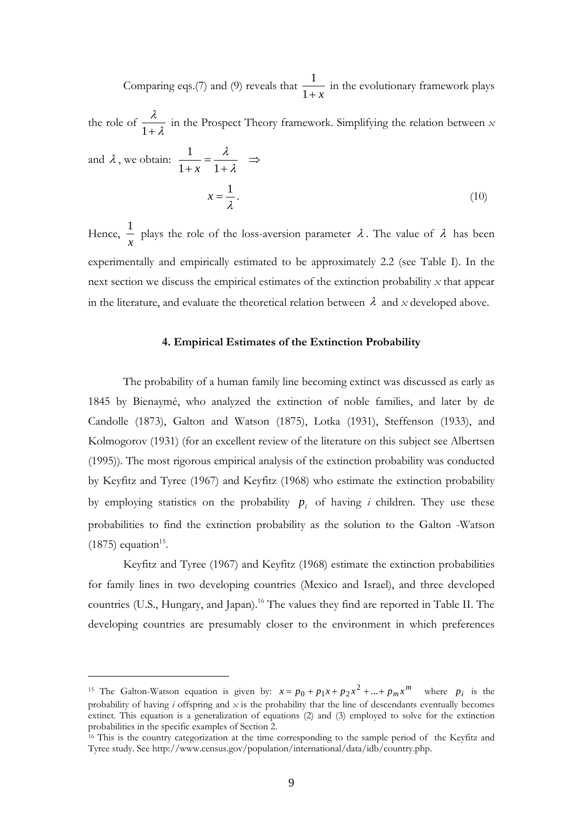Comparing eqs.(7) and (9) reveals that  $\frac{1}{1 + x}$  $\frac{1}{1}$  in the evolutionary framework plays

the role of  $\frac{\pi}{1+\lambda}$ λ  $1+$  in the Prospect Theory framework. Simplifying the relation between *x* and  $\lambda$ , we obtain:  $\frac{1}{1+x} = \frac{\lambda}{1+\lambda} \implies$  $1 + x - 1$ 1 *x*  $x = \frac{1}{\lambda}$  $x = \frac{1}{4}$ . (10)

Hence, *x*  $\frac{1}{x}$  plays the role of the loss-aversion parameter  $\lambda$ . The value of  $\lambda$  has been experimentally and empirically estimated to be approximately 2.2 (see Table I). In the next section we discuss the empirical estimates of the extinction probability *x* that appear in the literature, and evaluate the theoretical relation between  $\lambda$  and x developed above.

### **4. Empirical Estimates of the Extinction Probability**

The probability of a human family line becoming extinct was discussed as early as 1845 by Bienaymé, who analyzed the extinction of noble families, and later by de Candolle (1873), Galton and Watson (1875), Lotka (1931), Steffenson (1933), and Kolmogorov (1931) (for an excellent review of the literature on this subject see Albertsen (1995)). The most rigorous empirical analysis of the extinction probability was conducted by Keyfitz and Tyree (1967) and Keyfitz (1968) who estimate the extinction probability by employing statistics on the probability  $p_i$  of having *i* children. They use these probabilities to find the extinction probability as the solution to the Galton -Watson  $(1875)$  equation<sup>15</sup>.

Keyfitz and Tyree (1967) and Keyfitz (1968) estimate the extinction probabilities for family lines in two developing countries (Mexico and Israel), and three developed countries (U.S., Hungary, and Japan).<sup>16</sup> The values they find are reported in Table II. The developing countries are presumably closer to the environment in which preferences

<sup>&</sup>lt;sup>15</sup> The Galton-Watson equation is given by:  $x = p_0 + p_1x + p_2x^2 + ... + p_mx^m$  where  $p_i$  is the probability of having *i* offspring and *x* is the probability that the line of descendants eventually becomes extinct. This equation is a generalization of equations (2) and (3) employed to solve for the extinction probabilities in the specific examples of Section 2.

 $\frac{16}{16}$  This is the country categorization at the time corresponding to the sample period of the Keyfitz and Tyree study. See http://www.census.gov/population/international/data/idb/country.php.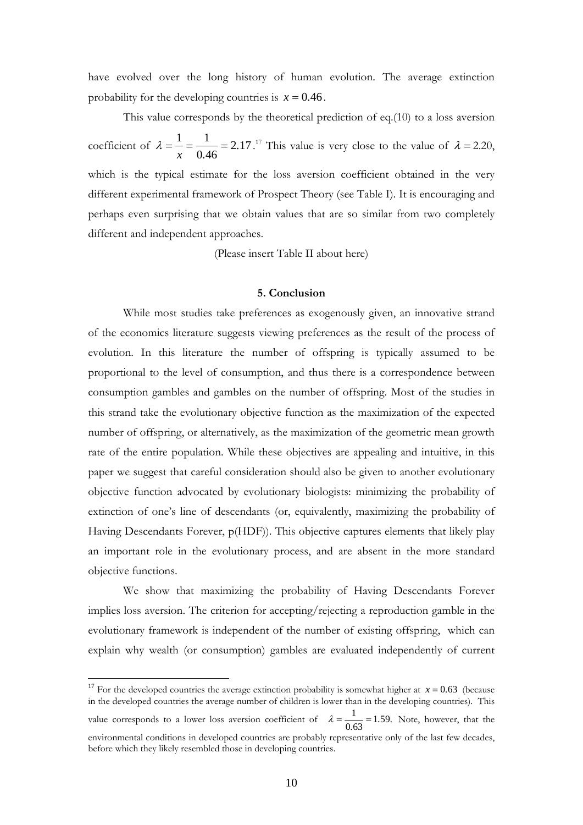have evolved over the long history of human evolution. The average extinction probability for the developing countries is  $x = 0.46$ .

 This value corresponds by the theoretical prediction of eq.(10) to a loss aversion coefficient of  $\lambda = \frac{1}{2} = \frac{1}{2} = 2.17$  $\lambda = \frac{1}{x} = \frac{1}{0.46} = 2.17$ .<sup>17</sup> This value is very close to the value of  $\lambda = 2.20$ , which is the typical estimate for the loss aversion coefficient obtained in the very different experimental framework of Prospect Theory (see Table I). It is encouraging and perhaps even surprising that we obtain values that are so similar from two completely different and independent approaches.

(Please insert Table II about here)

#### **5. Conclusion**

While most studies take preferences as exogenously given, an innovative strand of the economics literature suggests viewing preferences as the result of the process of evolution. In this literature the number of offspring is typically assumed to be proportional to the level of consumption, and thus there is a correspondence between consumption gambles and gambles on the number of offspring. Most of the studies in this strand take the evolutionary objective function as the maximization of the expected number of offspring, or alternatively, as the maximization of the geometric mean growth rate of the entire population. While these objectives are appealing and intuitive, in this paper we suggest that careful consideration should also be given to another evolutionary objective function advocated by evolutionary biologists: minimizing the probability of extinction of one's line of descendants (or, equivalently, maximizing the probability of Having Descendants Forever, p(HDF)). This objective captures elements that likely play an important role in the evolutionary process, and are absent in the more standard objective functions.

 We show that maximizing the probability of Having Descendants Forever implies loss aversion. The criterion for accepting/rejecting a reproduction gamble in the evolutionary framework is independent of the number of existing offspring, which can explain why wealth (or consumption) gambles are evaluated independently of current

<u>.</u>

<sup>&</sup>lt;sup>17</sup> For the developed countries the average extinction probability is somewhat higher at  $x = 0.63$  (because in the developed countries the average number of children is lower than in the developing countries). This value corresponds to a lower loss aversion coefficient of  $\lambda = \frac{1}{0.63} = 1.59$ . Note, however, that the environmental conditions in developed countries are probably representative only of the last few decades, before which they likely resembled those in developing countries.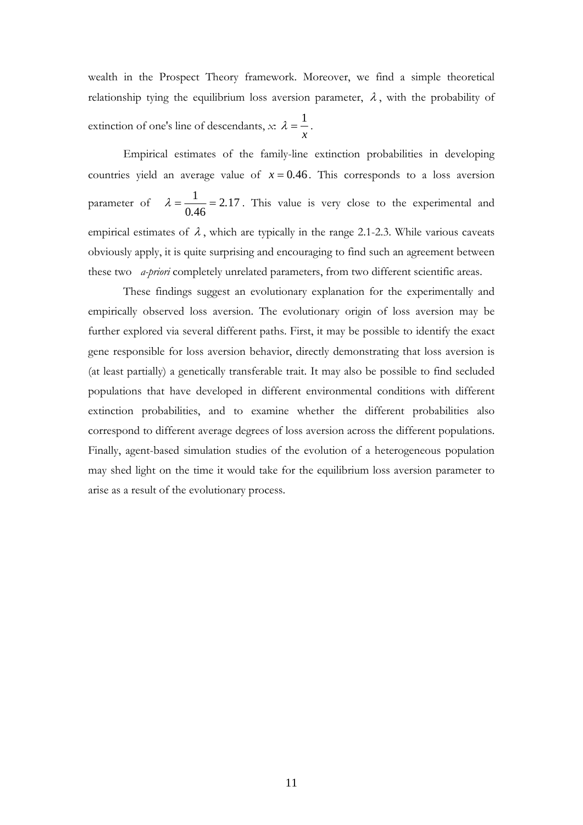wealth in the Prospect Theory framework. Moreover, we find a simple theoretical relationship tying the equilibrium loss aversion parameter,  $\lambda$ , with the probability of extinction of one's line of descendants, *x*: *x*  $\lambda = \frac{1}{\cdot}$ .

 Empirical estimates of the family-line extinction probabilities in developing countries yield an average value of  $x = 0.46$ . This corresponds to a loss aversion parameter of  $\lambda = \frac{1}{2 \epsilon_0} = 2.17$  $\lambda = \frac{1}{0.46} = 2.17$ . This value is very close to the experimental and empirical estimates of  $\lambda$ , which are typically in the range 2.1-2.3. While various caveats obviously apply, it is quite surprising and encouraging to find such an agreement between these two *a-priori* completely unrelated parameters, from two different scientific areas.

These findings suggest an evolutionary explanation for the experimentally and empirically observed loss aversion. The evolutionary origin of loss aversion may be further explored via several different paths. First, it may be possible to identify the exact gene responsible for loss aversion behavior, directly demonstrating that loss aversion is (at least partially) a genetically transferable trait. It may also be possible to find secluded populations that have developed in different environmental conditions with different extinction probabilities, and to examine whether the different probabilities also correspond to different average degrees of loss aversion across the different populations. Finally, agent-based simulation studies of the evolution of a heterogeneous population may shed light on the time it would take for the equilibrium loss aversion parameter to arise as a result of the evolutionary process.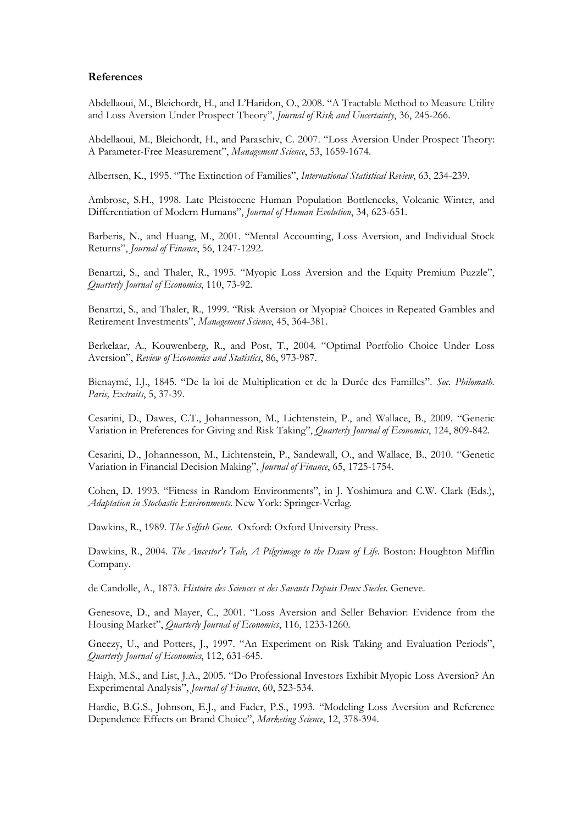#### **References**

Abdellaoui, M., Bleichordt, H., and L'Haridon, O., 2008. "A Tractable Method to Measure Utility and Loss Aversion Under Prospect Theory", *Journal of Risk and Uncertainty*, 36, 245-266.

Abdellaoui, M., Bleichordt, H., and Paraschiv, C. 2007. "Loss Aversion Under Prospect Theory: A Parameter-Free Measurement", *Management Science*, 53, 1659-1674.

Albertsen, K., 1995. "The Extinction of Families", *International Statistical Review*, 63, 234-239.

Ambrose, S.H., 1998. Late Pleistocene Human Population Bottlenecks, Volcanic Winter, and Differentiation of Modern Humans", *Journal of Human Evolution*, 34, 623-651.

Barberis, N., and Huang, M., 2001. "Mental Accounting, Loss Aversion, and Individual Stock Returns", *Journal of Finance*, 56, 1247-1292.

Benartzi, S., and Thaler, R., 1995. "Myopic Loss Aversion and the Equity Premium Puzzle", *Quarterly Journal of Economics*, 110, 73-92.

Benartzi, S., and Thaler, R., 1999. "Risk Aversion or Myopia? Choices in Repeated Gambles and Retirement Investments", *Management Science*, 45, 364-381.

Berkelaar, A., Kouwenberg, R., and Post, T., 2004. "Optimal Portfolio Choice Under Loss Aversion", *Review of Economics and Statistics*, 86, 973-987.

Bienaymé, I.J., 1845. "De la loi de Multiplication et de la Durée des Familles". *Soc. Philomath. Paris, Extraits*, 5, 37-39.

Cesarini, D., Dawes, C.T., Johannesson, M., Lichtenstein, P., and Wallace, B., 2009. "Genetic Variation in Preferences for Giving and Risk Taking", *Quarterly Journal of Economics*, 124, 809-842.

Cesarini, D., Johannesson, M., Lichtenstein, P., Sandewall, O., and Wallace, B., 2010. "Genetic Variation in Financial Decision Making", *Journal of Finance*, 65, 1725-1754.

Cohen, D. 1993. "Fitness in Random Environments", in J. Yoshimura and C.W. Clark (Eds.), *Adaptation in Stochastic Environments*. New York: Springer-Verlag.

Dawkins, R., 1989. *The Selfish Gene*. Oxford: Oxford University Press.

Dawkins, R., 2004. *The Ancestor's Tale, A Pilgrimage to the Dawn of Life*. Boston: Houghton Mifflin Company.

de Candolle, A., 1873. *Histoire des Sciences et des Savants Depuis Deux Siecles*. Geneve.

Genesove, D., and Mayer, C., 2001. "Loss Aversion and Seller Behavior: Evidence from the Housing Market", *Quarterly Journal of Economics*, 116, 1233-1260.

Gneezy, U., and Potters, J., 1997. "An Experiment on Risk Taking and Evaluation Periods", *Quarterly Journal of Economics*, 112, 631-645.

Haigh, M.S., and List, J.A., 2005. "Do Professional Investors Exhibit Myopic Loss Aversion? An Experimental Analysis", *Journal of Finance*, 60, 523-534.

Hardie, B.G.S., Johnson, E.J., and Fader, P.S., 1993. "Modeling Loss Aversion and Reference Dependence Effects on Brand Choice", *Marketing Science*, 12, 378-394.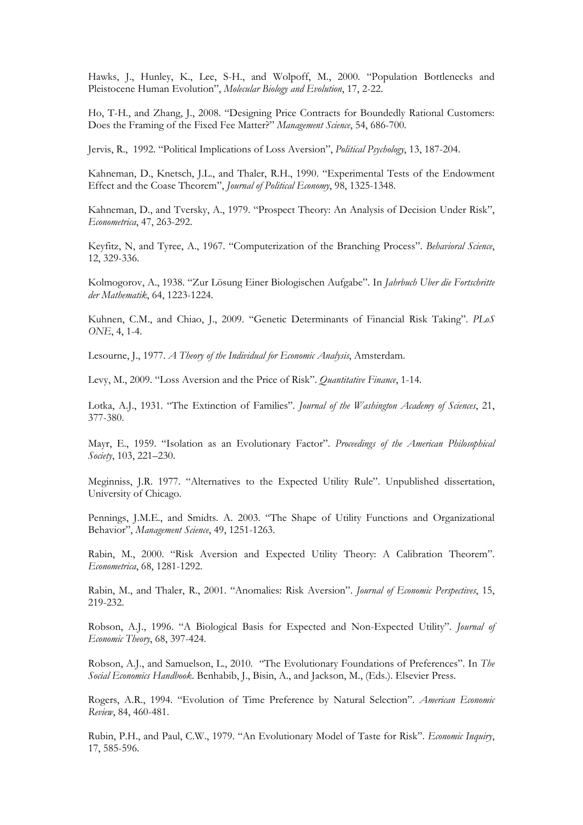Hawks, J., Hunley, K., Lee, S-H., and Wolpoff, M., 2000. "Population Bottlenecks and Pleistocene Human Evolution", *Molecular Biology and Evolution*, 17, 2-22.

Ho, T-H., and Zhang, J., 2008. "Designing Price Contracts for Boundedly Rational Customers: Does the Framing of the Fixed Fee Matter?" *Management Science*, 54, 686-700.

Jervis, R., 1992. "Political Implications of Loss Aversion", *Political Psychology*, 13, 187-204.

Kahneman, D., Knetsch, J.L., and Thaler, R.H., 1990. "Experimental Tests of the Endowment Effect and the Coase Theorem", *Journal of Political Economy*, 98, 1325-1348.

Kahneman, D., and Tversky, A., 1979. "Prospect Theory: An Analysis of Decision Under Risk", *Econometrica*, 47, 263-292.

Keyfitz, N, and Tyree, A., 1967. "Computerization of the Branching Process". *Behavioral Science*, 12, 329-336.

Kolmogorov, A., 1938. "Zur Lösung Einer Biologischen Aufgabe". In *Jahrbuch Uber die Fortschritte der Mathematik*, 64, 1223-1224.

Kuhnen, C.M., and Chiao, J., 2009. "Genetic Determinants of Financial Risk Taking". *PLoS ONE*, 4, 1-4.

Lesourne, J., 1977. *A Theory of the Individual for Economic Analysis*, Amsterdam.

Levy, M., 2009. "Loss Aversion and the Price of Risk". *Quantitative Finance*, 1-14.

Lotka, A.J., 1931. "The Extinction of Families". *Journal of the Washington Academy of Sciences*, 21, 377-380.

Mayr, E., 1959. "Isolation as an Evolutionary Factor". *Proceedings of the American Philosophical Society*, 103, 221–230.

Meginniss, J.R. 1977. "Alternatives to the Expected Utility Rule". Unpublished dissertation, University of Chicago.

Pennings, J.M.E., and Smidts. A. 2003. "The Shape of Utility Functions and Organizational Behavior", *Management Science*, 49, 1251-1263.

Rabin, M., 2000. "Risk Aversion and Expected Utility Theory: A Calibration Theorem". *Econometrica*, 68, 1281-1292.

Rabin, M., and Thaler, R., 2001. "Anomalies: Risk Aversion". *Journal of Economic Perspectives*, 15, 219-232.

Robson, A.J., 1996. "A Biological Basis for Expected and Non-Expected Utility". *Journal of Economic Theory*, 68, 397-424.

Robson, A.J., and Samuelson, L., 2010. "The Evolutionary Foundations of Preferences". In *The Social Economics Handbook*. Benhabib, J., Bisin, A., and Jackson, M., (Eds.). Elsevier Press.

Rogers, A.R., 1994. "Evolution of Time Preference by Natural Selection". *American Economic Review*, 84, 460-481.

Rubin, P.H., and Paul, C.W., 1979. "An Evolutionary Model of Taste for Risk". *Economic Inquiry*, 17, 585-596.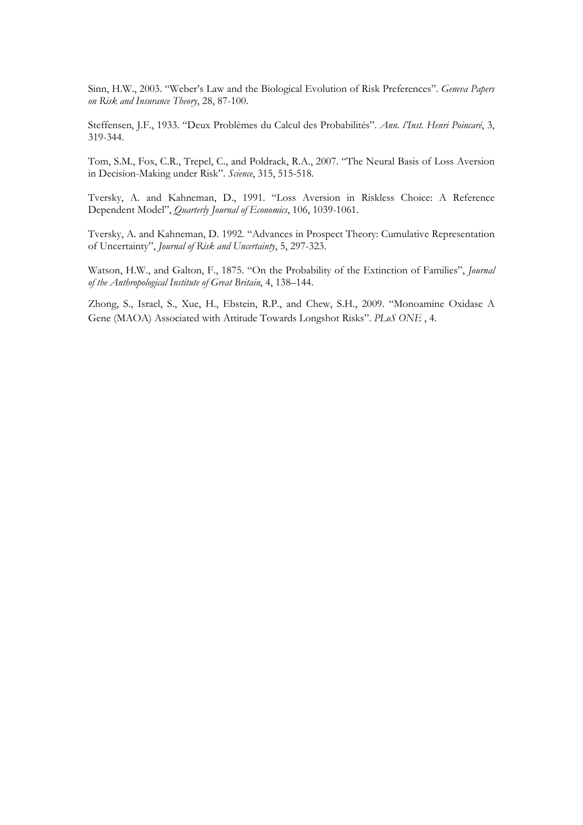Sinn, H.W., 2003. "Weber's Law and the Biological Evolution of Risk Preferences". *Geneva Papers on Risk and Insurance Theory*, 28, 87-100.

Steffensen, J.F., 1933. "Deux Problèmes du Calcul des Probabilités". *Ann. l'Inst. Henri Poincaré*, 3, 319-344.

Tom, S.M., Fox, C.R., Trepel, C., and Poldrack, R.A., 2007. "The Neural Basis of Loss Aversion in Decision-Making under Risk". *Science*, 315, 515-518.

Tversky, A. and Kahneman, D., 1991. "Loss Aversion in Riskless Choice: A Reference Dependent Model", *Quarterly Journal of Economics*, 106, 1039-1061.

Tversky, A. and Kahneman, D. 1992. "Advances in Prospect Theory: Cumulative Representation of Uncertainty", *Journal of Risk and Uncertainty*, 5, 297-323.

Watson, H.W., and Galton, F., 1875. "On the Probability of the Extinction of Families", *Journal of the Anthropological Institute of Great Britain*, 4, 138–144.

Zhong, S., Israel, S., Xue, H., Ebstein, R.P., and Chew, S.H., 2009. "Monoamine Oxidase A Gene (MAOA) Associated with Attitude Towards Longshot Risks". *PLoS ONE* , 4.